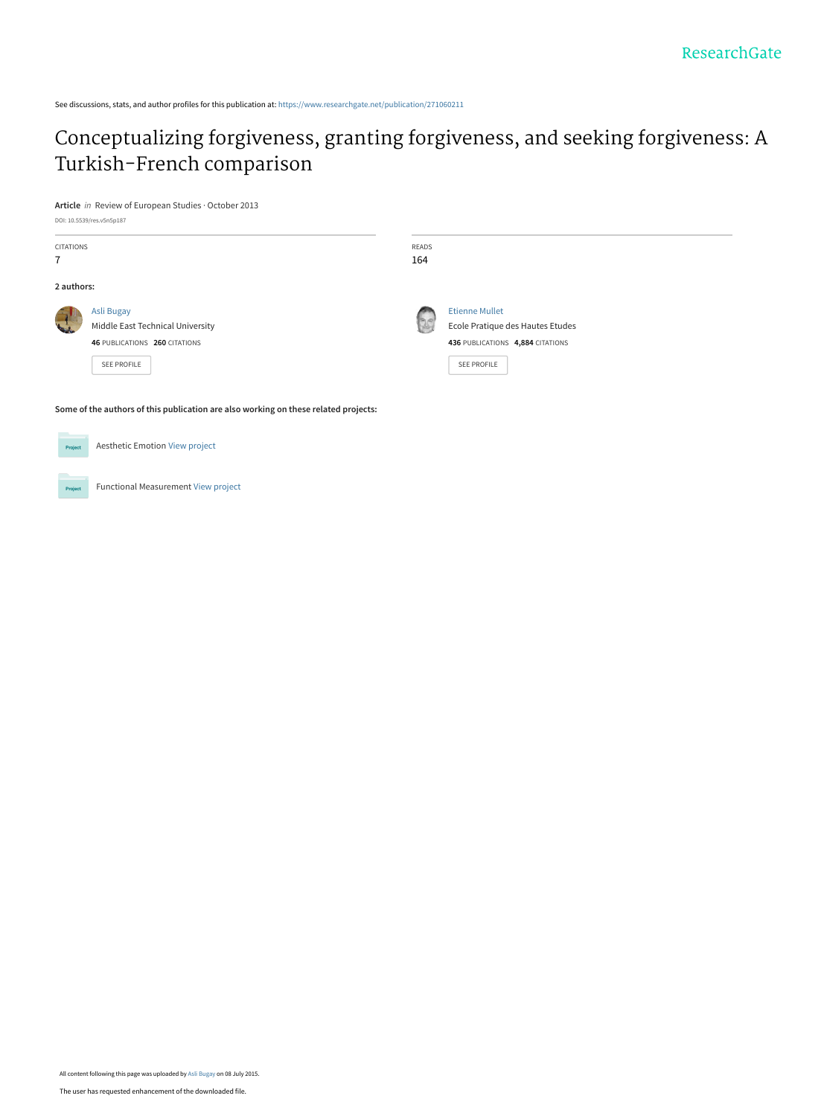See discussions, stats, and author profiles for this publication at: [https://www.researchgate.net/publication/271060211](https://www.researchgate.net/publication/271060211_Conceptualizing_forgiveness_granting_forgiveness_and_seeking_forgiveness_A_Turkish-French_comparison?enrichId=rgreq-9f0d40f1da32f0b0570cf9131d50c2bf-XXX&enrichSource=Y292ZXJQYWdlOzI3MTA2MDIxMTtBUzoyNDkwNjAxNDU3NTgyMDhAMTQzNjM5MTk3NDg2MA%3D%3D&el=1_x_2&_esc=publicationCoverPdf)

# [Conceptualizing forgiveness, granting forgiveness, and seeking forgiveness: A](https://www.researchgate.net/publication/271060211_Conceptualizing_forgiveness_granting_forgiveness_and_seeking_forgiveness_A_Turkish-French_comparison?enrichId=rgreq-9f0d40f1da32f0b0570cf9131d50c2bf-XXX&enrichSource=Y292ZXJQYWdlOzI3MTA2MDIxMTtBUzoyNDkwNjAxNDU3NTgyMDhAMTQzNjM5MTk3NDg2MA%3D%3D&el=1_x_3&_esc=publicationCoverPdf) Turkish-French comparison

**Article** in Review of European Studies · October 2013

DOI: 10.5539/res.v5n5p187

| <b>CITATIONS</b><br>$\overline{7}$ |                                                                                                       | READS<br>164 |                                                                                                                     |  |  |  |  |  |
|------------------------------------|-------------------------------------------------------------------------------------------------------|--------------|---------------------------------------------------------------------------------------------------------------------|--|--|--|--|--|
| 2 authors:                         |                                                                                                       |              |                                                                                                                     |  |  |  |  |  |
|                                    | Asli Bugay<br>Middle East Technical University<br>46 PUBLICATIONS 260 CITATIONS<br><b>SEE PROFILE</b> |              | <b>Etienne Mullet</b><br>Ecole Pratique des Hautes Etudes<br>436 PUBLICATIONS 4,884 CITATIONS<br><b>SEE PROFILE</b> |  |  |  |  |  |
|                                    | Some of the authors of this publication are also working on these related projects:                   |              |                                                                                                                     |  |  |  |  |  |



Aesthetic Emotion [View project](https://www.researchgate.net/project/Aesthetic-Emotion?enrichId=rgreq-9f0d40f1da32f0b0570cf9131d50c2bf-XXX&enrichSource=Y292ZXJQYWdlOzI3MTA2MDIxMTtBUzoyNDkwNjAxNDU3NTgyMDhAMTQzNjM5MTk3NDg2MA%3D%3D&el=1_x_9&_esc=publicationCoverPdf)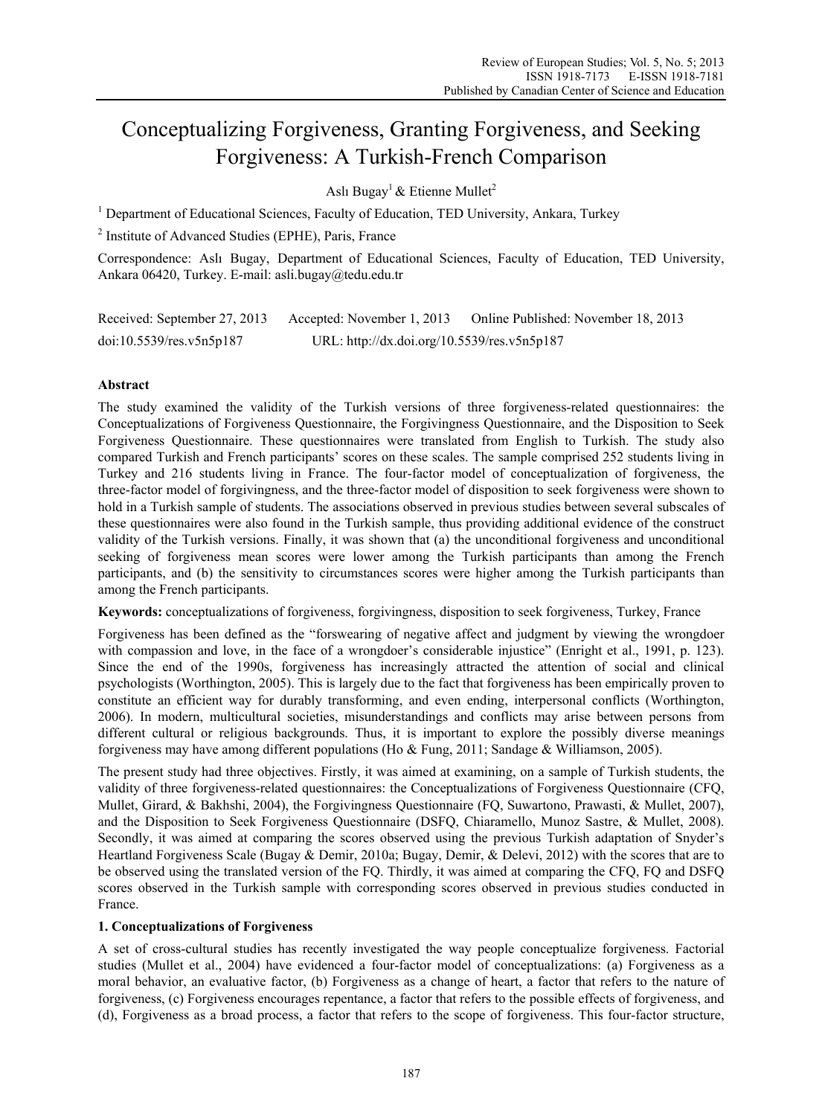# Conceptualizing Forgiveness, Granting Forgiveness, and Seeking Forgiveness: A Turkish-French Comparison

Aslı Bugay<sup>1</sup> & Etienne Mullet<sup>2</sup>

<sup>1</sup> Department of Educational Sciences, Faculty of Education, TED University, Ankara, Turkey

2 Institute of Advanced Studies (EPHE), Paris, France

Correspondence: Aslı Bugay, Department of Educational Sciences, Faculty of Education, TED University, Ankara 06420, Turkey. E-mail: asli.bugay@tedu.edu.tr

| Received: September 27, 2013 | Accepted: November 1, 2013                  | Online Published: November 18, 2013 |
|------------------------------|---------------------------------------------|-------------------------------------|
| $doi:10.5539$ /res.v5n5p187  | URL: http://dx.doi.org/10.5539/res.v5n5p187 |                                     |

# **Abstract**

The study examined the validity of the Turkish versions of three forgiveness-related questionnaires: the Conceptualizations of Forgiveness Questionnaire, the Forgivingness Questionnaire, and the Disposition to Seek Forgiveness Questionnaire. These questionnaires were translated from English to Turkish. The study also compared Turkish and French participants' scores on these scales. The sample comprised 252 students living in Turkey and 216 students living in France. The four-factor model of conceptualization of forgiveness, the three-factor model of forgivingness, and the three-factor model of disposition to seek forgiveness were shown to hold in a Turkish sample of students. The associations observed in previous studies between several subscales of these questionnaires were also found in the Turkish sample, thus providing additional evidence of the construct validity of the Turkish versions. Finally, it was shown that (a) the unconditional forgiveness and unconditional seeking of forgiveness mean scores were lower among the Turkish participants than among the French participants, and (b) the sensitivity to circumstances scores were higher among the Turkish participants than among the French participants.

**Keywords:** conceptualizations of forgiveness, forgivingness, disposition to seek forgiveness, Turkey, France

Forgiveness has been defined as the "forswearing of negative affect and judgment by viewing the wrongdoer with compassion and love, in the face of a wrongdoer's considerable injustice" (Enright et al., 1991, p. 123). Since the end of the 1990s, forgiveness has increasingly attracted the attention of social and clinical psychologists (Worthington, 2005). This is largely due to the fact that forgiveness has been empirically proven to constitute an efficient way for durably transforming, and even ending, interpersonal conflicts (Worthington, 2006). In modern, multicultural societies, misunderstandings and conflicts may arise between persons from different cultural or religious backgrounds. Thus, it is important to explore the possibly diverse meanings forgiveness may have among different populations (Ho & Fung, 2011; Sandage & Williamson, 2005).

The present study had three objectives. Firstly, it was aimed at examining, on a sample of Turkish students, the validity of three forgiveness-related questionnaires: the Conceptualizations of Forgiveness Questionnaire (CFQ, Mullet, Girard, & Bakhshi, 2004), the Forgivingness Questionnaire (FQ, Suwartono, Prawasti, & Mullet, 2007), and the Disposition to Seek Forgiveness Questionnaire (DSFQ, Chiaramello, Munoz Sastre, & Mullet, 2008). Secondly, it was aimed at comparing the scores observed using the previous Turkish adaptation of Snyder's Heartland Forgiveness Scale (Bugay & Demir, 2010a; Bugay, Demir, & Delevi, 2012) with the scores that are to be observed using the translated version of the FQ. Thirdly, it was aimed at comparing the CFQ, FQ and DSFQ scores observed in the Turkish sample with corresponding scores observed in previous studies conducted in France.

# **1. Conceptualizations of Forgiveness**

A set of cross-cultural studies has recently investigated the way people conceptualize forgiveness. Factorial studies (Mullet et al., 2004) have evidenced a four-factor model of conceptualizations: (a) Forgiveness as a moral behavior, an evaluative factor, (b) Forgiveness as a change of heart, a factor that refers to the nature of forgiveness, (c) Forgiveness encourages repentance, a factor that refers to the possible effects of forgiveness, and (d), Forgiveness as a broad process, a factor that refers to the scope of forgiveness. This four-factor structure,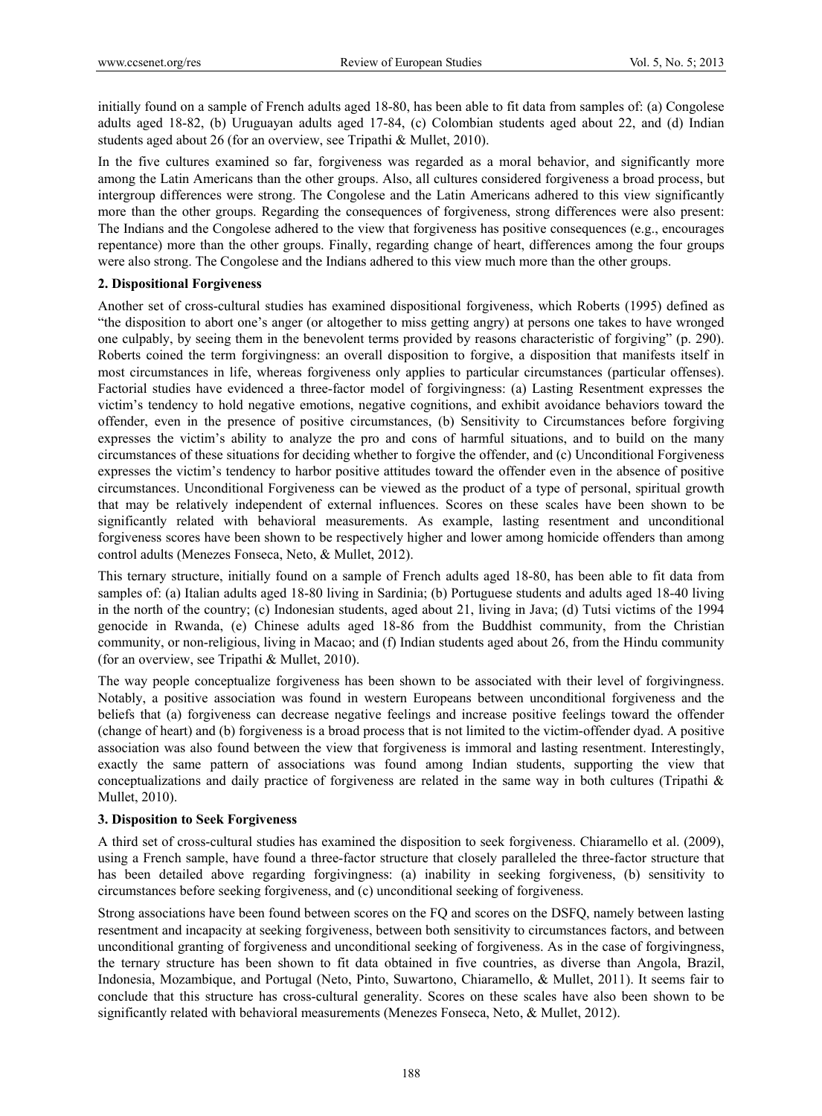initially found on a sample of French adults aged 18-80, has been able to fit data from samples of: (a) Congolese adults aged 18-82, (b) Uruguayan adults aged 17-84, (c) Colombian students aged about 22, and (d) Indian students aged about 26 (for an overview, see Tripathi & Mullet, 2010).

In the five cultures examined so far, forgiveness was regarded as a moral behavior, and significantly more among the Latin Americans than the other groups. Also, all cultures considered forgiveness a broad process, but intergroup differences were strong. The Congolese and the Latin Americans adhered to this view significantly more than the other groups. Regarding the consequences of forgiveness, strong differences were also present: The Indians and the Congolese adhered to the view that forgiveness has positive consequences (e.g., encourages repentance) more than the other groups. Finally, regarding change of heart, differences among the four groups were also strong. The Congolese and the Indians adhered to this view much more than the other groups.

### **2. Dispositional Forgiveness**

Another set of cross-cultural studies has examined dispositional forgiveness, which Roberts (1995) defined as "the disposition to abort one's anger (or altogether to miss getting angry) at persons one takes to have wronged one culpably, by seeing them in the benevolent terms provided by reasons characteristic of forgiving" (p. 290). Roberts coined the term forgivingness: an overall disposition to forgive, a disposition that manifests itself in most circumstances in life, whereas forgiveness only applies to particular circumstances (particular offenses). Factorial studies have evidenced a three-factor model of forgivingness: (a) Lasting Resentment expresses the victim's tendency to hold negative emotions, negative cognitions, and exhibit avoidance behaviors toward the offender, even in the presence of positive circumstances, (b) Sensitivity to Circumstances before forgiving expresses the victim's ability to analyze the pro and cons of harmful situations, and to build on the many circumstances of these situations for deciding whether to forgive the offender, and (c) Unconditional Forgiveness expresses the victim's tendency to harbor positive attitudes toward the offender even in the absence of positive circumstances. Unconditional Forgiveness can be viewed as the product of a type of personal, spiritual growth that may be relatively independent of external influences. Scores on these scales have been shown to be significantly related with behavioral measurements. As example, lasting resentment and unconditional forgiveness scores have been shown to be respectively higher and lower among homicide offenders than among control adults (Menezes Fonseca, Neto, & Mullet, 2012).

This ternary structure, initially found on a sample of French adults aged 18-80, has been able to fit data from samples of: (a) Italian adults aged 18-80 living in Sardinia; (b) Portuguese students and adults aged 18-40 living in the north of the country; (c) Indonesian students, aged about 21, living in Java; (d) Tutsi victims of the 1994 genocide in Rwanda, (e) Chinese adults aged 18-86 from the Buddhist community, from the Christian community, or non-religious, living in Macao; and (f) Indian students aged about 26, from the Hindu community (for an overview, see Tripathi & Mullet, 2010).

The way people conceptualize forgiveness has been shown to be associated with their level of forgivingness. Notably, a positive association was found in western Europeans between unconditional forgiveness and the beliefs that (a) forgiveness can decrease negative feelings and increase positive feelings toward the offender (change of heart) and (b) forgiveness is a broad process that is not limited to the victim-offender dyad. A positive association was also found between the view that forgiveness is immoral and lasting resentment. Interestingly, exactly the same pattern of associations was found among Indian students, supporting the view that conceptualizations and daily practice of forgiveness are related in the same way in both cultures (Tripathi & Mullet, 2010).

#### **3. Disposition to Seek Forgiveness**

A third set of cross-cultural studies has examined the disposition to seek forgiveness. Chiaramello et al. (2009), using a French sample, have found a three-factor structure that closely paralleled the three-factor structure that has been detailed above regarding forgivingness: (a) inability in seeking forgiveness, (b) sensitivity to circumstances before seeking forgiveness, and (c) unconditional seeking of forgiveness.

Strong associations have been found between scores on the FQ and scores on the DSFQ, namely between lasting resentment and incapacity at seeking forgiveness, between both sensitivity to circumstances factors, and between unconditional granting of forgiveness and unconditional seeking of forgiveness. As in the case of forgivingness, the ternary structure has been shown to fit data obtained in five countries, as diverse than Angola, Brazil, Indonesia, Mozambique, and Portugal (Neto, Pinto, Suwartono, Chiaramello, & Mullet, 2011). It seems fair to conclude that this structure has cross-cultural generality. Scores on these scales have also been shown to be significantly related with behavioral measurements (Menezes Fonseca, Neto, & Mullet, 2012).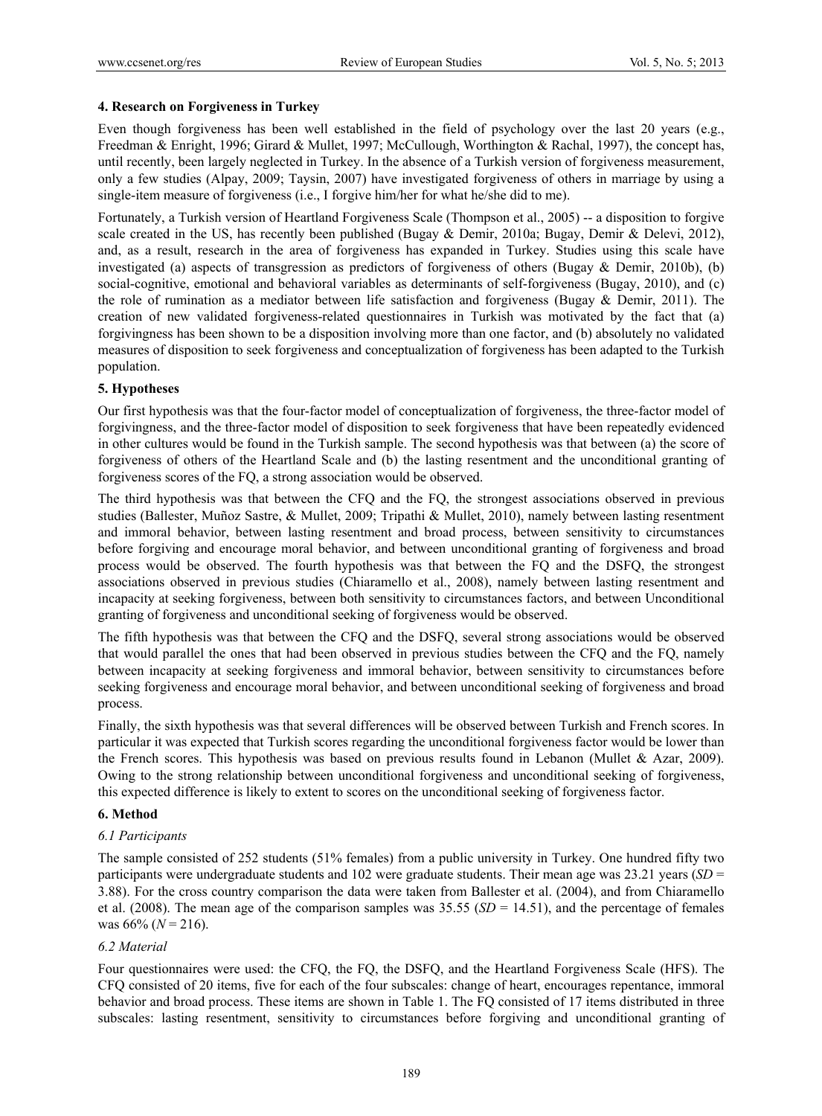### **4. Research on Forgiveness in Turkey**

Even though forgiveness has been well established in the field of psychology over the last 20 years (e.g., Freedman & Enright, 1996; Girard & Mullet, 1997; McCullough, Worthington & Rachal, 1997), the concept has, until recently, been largely neglected in Turkey. In the absence of a Turkish version of forgiveness measurement, only a few studies (Alpay, 2009; Taysin, 2007) have investigated forgiveness of others in marriage by using a single-item measure of forgiveness (i.e., I forgive him/her for what he/she did to me).

Fortunately, a Turkish version of Heartland Forgiveness Scale (Thompson et al., 2005) -- a disposition to forgive scale created in the US, has recently been published (Bugay & Demir, 2010a; Bugay, Demir & Delevi, 2012), and, as a result, research in the area of forgiveness has expanded in Turkey. Studies using this scale have investigated (a) aspects of transgression as predictors of forgiveness of others (Bugay & Demir, 2010b), (b) social-cognitive, emotional and behavioral variables as determinants of self-forgiveness (Bugay, 2010), and (c) the role of rumination as a mediator between life satisfaction and forgiveness (Bugay & Demir, 2011). The creation of new validated forgiveness-related questionnaires in Turkish was motivated by the fact that (a) forgivingness has been shown to be a disposition involving more than one factor, and (b) absolutely no validated measures of disposition to seek forgiveness and conceptualization of forgiveness has been adapted to the Turkish population.

### **5. Hypotheses**

Our first hypothesis was that the four-factor model of conceptualization of forgiveness, the three-factor model of forgivingness, and the three-factor model of disposition to seek forgiveness that have been repeatedly evidenced in other cultures would be found in the Turkish sample. The second hypothesis was that between (a) the score of forgiveness of others of the Heartland Scale and (b) the lasting resentment and the unconditional granting of forgiveness scores of the FQ, a strong association would be observed.

The third hypothesis was that between the CFQ and the FQ, the strongest associations observed in previous studies (Ballester, Muñoz Sastre, & Mullet, 2009; Tripathi & Mullet, 2010), namely between lasting resentment and immoral behavior, between lasting resentment and broad process, between sensitivity to circumstances before forgiving and encourage moral behavior, and between unconditional granting of forgiveness and broad process would be observed. The fourth hypothesis was that between the FQ and the DSFQ, the strongest associations observed in previous studies (Chiaramello et al., 2008), namely between lasting resentment and incapacity at seeking forgiveness, between both sensitivity to circumstances factors, and between Unconditional granting of forgiveness and unconditional seeking of forgiveness would be observed.

The fifth hypothesis was that between the CFQ and the DSFQ, several strong associations would be observed that would parallel the ones that had been observed in previous studies between the CFQ and the FQ, namely between incapacity at seeking forgiveness and immoral behavior, between sensitivity to circumstances before seeking forgiveness and encourage moral behavior, and between unconditional seeking of forgiveness and broad process.

Finally, the sixth hypothesis was that several differences will be observed between Turkish and French scores. In particular it was expected that Turkish scores regarding the unconditional forgiveness factor would be lower than the French scores. This hypothesis was based on previous results found in Lebanon (Mullet & Azar, 2009). Owing to the strong relationship between unconditional forgiveness and unconditional seeking of forgiveness, this expected difference is likely to extent to scores on the unconditional seeking of forgiveness factor.

### **6. Method**

#### *6.1 Participants*

The sample consisted of 252 students (51% females) from a public university in Turkey. One hundred fifty two participants were undergraduate students and 102 were graduate students. Their mean age was 23.21 years (*SD* = 3.88). For the cross country comparison the data were taken from Ballester et al. (2004), and from Chiaramello et al. (2008). The mean age of the comparison samples was 35.55 (*SD* = 14.51), and the percentage of females was 66% (*N* = 216).

### *6.2 Material*

Four questionnaires were used: the CFQ, the FQ, the DSFQ, and the Heartland Forgiveness Scale (HFS). The CFQ consisted of 20 items, five for each of the four subscales: change of heart, encourages repentance, immoral behavior and broad process. These items are shown in Table 1. The FQ consisted of 17 items distributed in three subscales: lasting resentment, sensitivity to circumstances before forgiving and unconditional granting of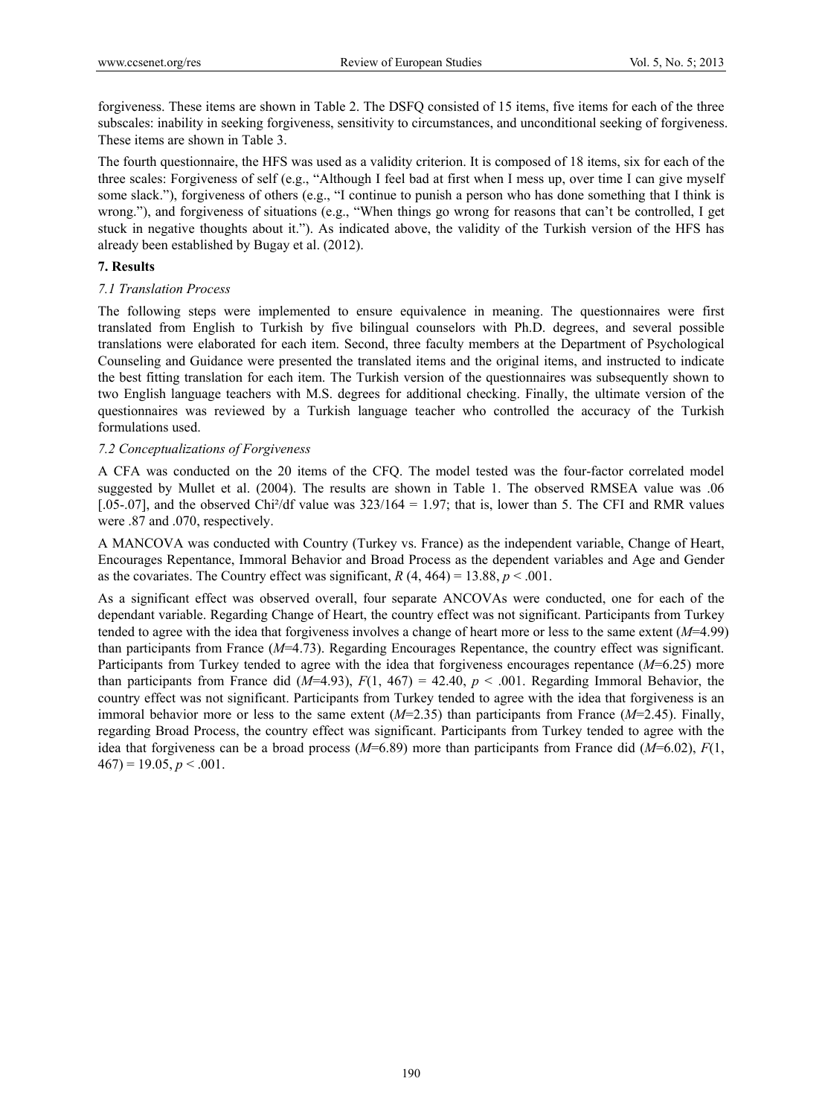forgiveness. These items are shown in Table 2. The DSFQ consisted of 15 items, five items for each of the three subscales: inability in seeking forgiveness, sensitivity to circumstances, and unconditional seeking of forgiveness. These items are shown in Table 3.

The fourth questionnaire, the HFS was used as a validity criterion. It is composed of 18 items, six for each of the three scales: Forgiveness of self (e.g., "Although I feel bad at first when I mess up, over time I can give myself some slack."), forgiveness of others (e.g., "I continue to punish a person who has done something that I think is wrong."), and forgiveness of situations (e.g., "When things go wrong for reasons that can't be controlled, I get stuck in negative thoughts about it."). As indicated above, the validity of the Turkish version of the HFS has already been established by Bugay et al. (2012).

## **7. Results**

### *7.1 Translation Process*

The following steps were implemented to ensure equivalence in meaning. The questionnaires were first translated from English to Turkish by five bilingual counselors with Ph.D. degrees, and several possible translations were elaborated for each item. Second, three faculty members at the Department of Psychological Counseling and Guidance were presented the translated items and the original items, and instructed to indicate the best fitting translation for each item. The Turkish version of the questionnaires was subsequently shown to two English language teachers with M.S. degrees for additional checking. Finally, the ultimate version of the questionnaires was reviewed by a Turkish language teacher who controlled the accuracy of the Turkish formulations used.

## *7.2 Conceptualizations of Forgiveness*

A CFA was conducted on the 20 items of the CFQ. The model tested was the four-factor correlated model suggested by Mullet et al. (2004). The results are shown in Table 1. The observed RMSEA value was .06 [.05-.07], and the observed Chi<sup>2</sup>/df value was  $323/164 = 1.97$ ; that is, lower than 5. The CFI and RMR values were .87 and .070, respectively.

A MANCOVA was conducted with Country (Turkey vs. France) as the independent variable, Change of Heart, Encourages Repentance, Immoral Behavior and Broad Process as the dependent variables and Age and Gender as the covariates. The Country effect was significant,  $R(4, 464) = 13.88$ ,  $p < .001$ .

As a significant effect was observed overall, four separate ANCOVAs were conducted, one for each of the dependant variable. Regarding Change of Heart, the country effect was not significant. Participants from Turkey tended to agree with the idea that forgiveness involves a change of heart more or less to the same extent (*M*=4.99) than participants from France (*M*=4.73). Regarding Encourages Repentance, the country effect was significant. Participants from Turkey tended to agree with the idea that forgiveness encourages repentance (*M*=6.25) more than participants from France did ( $M=4.93$ ),  $F(1, 467) = 42.40$ ,  $p < .001$ . Regarding Immoral Behavior, the country effect was not significant. Participants from Turkey tended to agree with the idea that forgiveness is an immoral behavior more or less to the same extent (*M*=2.35) than participants from France (*M*=2.45). Finally, regarding Broad Process, the country effect was significant. Participants from Turkey tended to agree with the idea that forgiveness can be a broad process  $(M=6.89)$  more than participants from France did  $(M=6.02)$ ,  $F(1, 1)$  $467$ ) = 19.05, *p* < .001.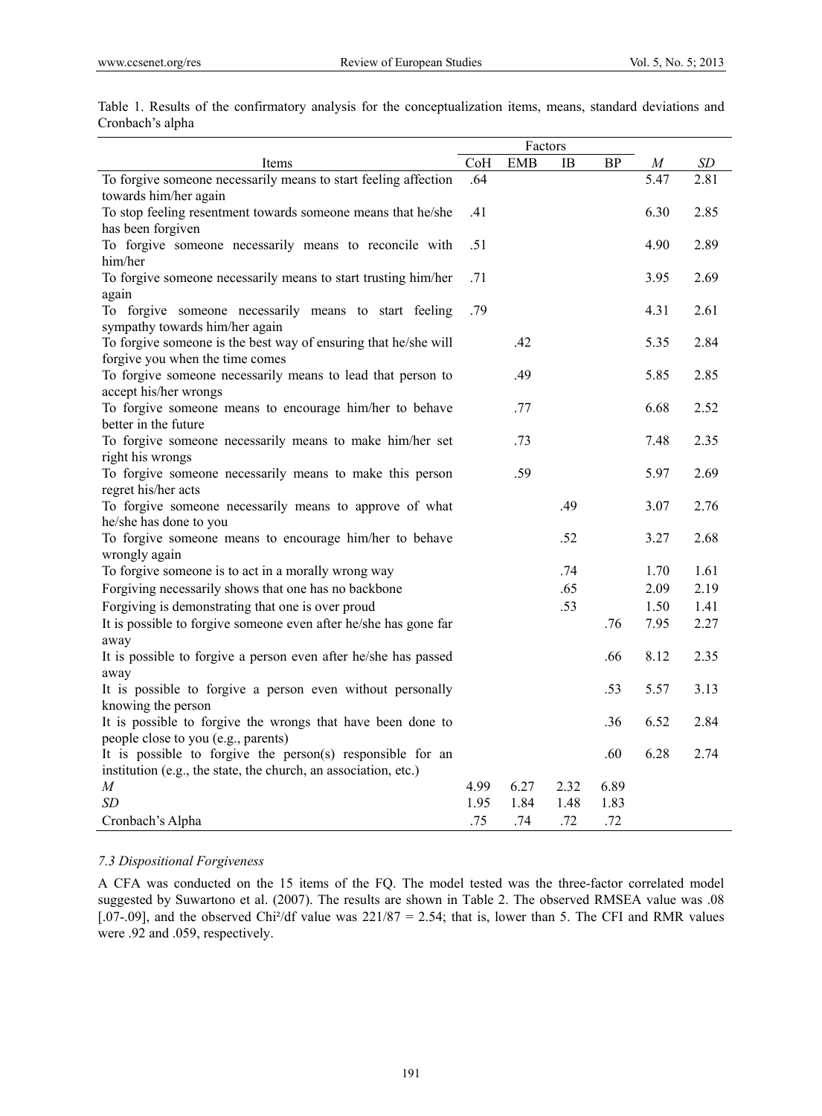|                                                                  |      | Factors    |      |          |      |      |
|------------------------------------------------------------------|------|------------|------|----------|------|------|
| Items                                                            | CoH  | <b>EMB</b> | IB   | $\rm BP$ | M    | SD   |
| To forgive someone necessarily means to start feeling affection  | .64  |            |      |          | 5.47 | 2.81 |
| towards him/her again                                            |      |            |      |          |      |      |
| To stop feeling resentment towards someone means that he/she     | .41  |            |      |          | 6.30 | 2.85 |
| has been forgiven                                                |      |            |      |          |      |      |
| To forgive someone necessarily means to reconcile with           | .51  |            |      |          | 4.90 | 2.89 |
| him/her                                                          |      |            |      |          |      |      |
| To forgive someone necessarily means to start trusting him/her   | .71  |            |      |          | 3.95 | 2.69 |
| again                                                            |      |            |      |          |      |      |
| To forgive someone necessarily means to start feeling            | .79  |            |      |          | 4.31 | 2.61 |
| sympathy towards him/her again                                   |      |            |      |          |      |      |
| To forgive someone is the best way of ensuring that he/she will  |      | .42        |      |          | 5.35 | 2.84 |
| forgive you when the time comes                                  |      |            |      |          |      |      |
| To forgive someone necessarily means to lead that person to      |      | .49        |      |          | 5.85 | 2.85 |
| accept his/her wrongs                                            |      |            |      |          |      |      |
| To forgive someone means to encourage him/her to behave          |      | .77        |      |          | 6.68 | 2.52 |
| better in the future                                             |      |            |      |          |      |      |
| To forgive someone necessarily means to make him/her set         |      | .73        |      |          | 7.48 | 2.35 |
| right his wrongs                                                 |      |            |      |          |      |      |
| To forgive someone necessarily means to make this person         |      | .59        |      |          | 5.97 | 2.69 |
| regret his/her acts                                              |      |            |      |          |      |      |
| To forgive someone necessarily means to approve of what          |      |            | .49  |          | 3.07 | 2.76 |
| he/she has done to you                                           |      |            |      |          |      |      |
| To forgive someone means to encourage him/her to behave          |      |            | .52  |          | 3.27 | 2.68 |
| wrongly again                                                    |      |            |      |          |      |      |
| To forgive someone is to act in a morally wrong way              |      |            | .74  |          | 1.70 | 1.61 |
| Forgiving necessarily shows that one has no backbone             |      |            | .65  |          | 2.09 | 2.19 |
| Forgiving is demonstrating that one is over proud                |      |            | .53  |          | 1.50 | 1.41 |
| It is possible to forgive someone even after he/she has gone far |      |            |      | .76      | 7.95 | 2.27 |
| away                                                             |      |            |      |          |      |      |
| It is possible to forgive a person even after he/she has passed  |      |            |      | .66      | 8.12 | 2.35 |
| away                                                             |      |            |      |          |      |      |
| It is possible to forgive a person even without personally       |      |            |      | .53      | 5.57 | 3.13 |
| knowing the person                                               |      |            |      |          |      |      |
| It is possible to forgive the wrongs that have been done to      |      |            |      | .36      | 6.52 | 2.84 |
| people close to you (e.g., parents)                              |      |            |      |          |      |      |
| It is possible to forgive the person(s) responsible for an       |      |            |      | .60      | 6.28 | 2.74 |
| institution (e.g., the state, the church, an association, etc.)  |      |            |      |          |      |      |
| $\cal M$                                                         | 4.99 | 6.27       | 2.32 | 6.89     |      |      |
| SD                                                               | 1.95 | 1.84       | 1.48 | 1.83     |      |      |
| Cronbach's Alpha                                                 | .75  | .74        | .72  | .72      |      |      |

Table 1. Results of the confirmatory analysis for the conceptualization items, means, standard deviations and Cronbach's alpha

## *7.3 Dispositional Forgiveness*

A CFA was conducted on the 15 items of the FQ. The model tested was the three-factor correlated model suggested by Suwartono et al. (2007). The results are shown in Table 2. The observed RMSEA value was .08 [.07-.09], and the observed Chi<sup>2</sup>/df value was  $221/87 = 2.54$ ; that is, lower than 5. The CFI and RMR values were .92 and .059, respectively.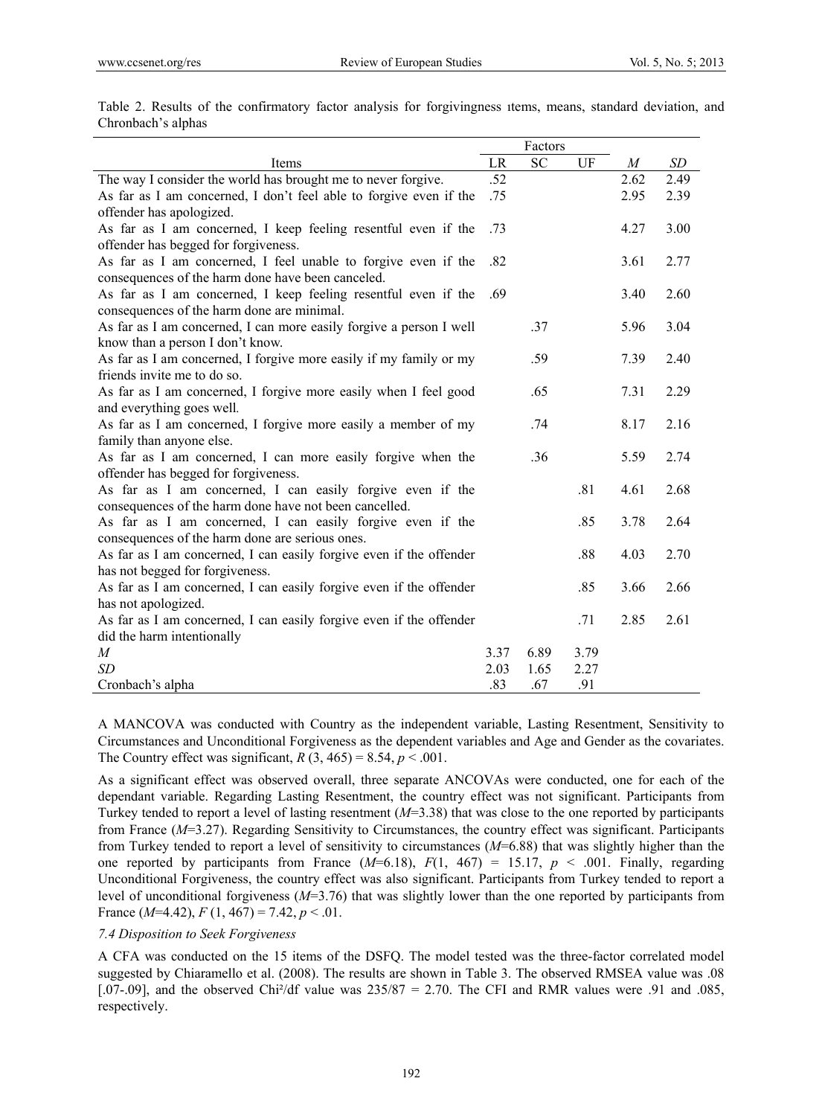|                    |  |  |  | Table 2. Results of the confirmatory factor analysis for forgivingness items, means, standard deviation, and |  |  |  |
|--------------------|--|--|--|--------------------------------------------------------------------------------------------------------------|--|--|--|
| Chronbach's alphas |  |  |  |                                                                                                              |  |  |  |

|                                                                     |      | Factors |      |                  |      |
|---------------------------------------------------------------------|------|---------|------|------------------|------|
| Items                                                               | LR   | SC      | UF   | $\boldsymbol{M}$ | SD   |
| The way I consider the world has brought me to never forgive.       | .52  |         |      | 2.62             | 2.49 |
| As far as I am concerned, I don't feel able to forgive even if the  | .75  |         |      | 2.95             | 2.39 |
| offender has apologized.                                            |      |         |      |                  |      |
| As far as I am concerned, I keep feeling resentful even if the      | .73  |         |      | 4.27             | 3.00 |
| offender has begged for forgiveness.                                |      |         |      |                  |      |
| As far as I am concerned, I feel unable to forgive even if the      | .82  |         |      | 3.61             | 2.77 |
| consequences of the harm done have been canceled.                   |      |         |      |                  |      |
| As far as I am concerned, I keep feeling resentful even if the      | .69  |         |      | 3.40             | 2.60 |
| consequences of the harm done are minimal.                          |      |         |      |                  |      |
| As far as I am concerned, I can more easily forgive a person I well |      | .37     |      | 5.96             | 3.04 |
| know than a person I don't know.                                    |      |         |      |                  |      |
| As far as I am concerned, I forgive more easily if my family or my  |      | .59     |      | 7.39             | 2.40 |
| friends invite me to do so.                                         |      |         |      |                  |      |
| As far as I am concerned, I forgive more easily when I feel good    |      | .65     |      | 7.31             | 2.29 |
| and everything goes well.                                           |      |         |      |                  |      |
| As far as I am concerned, I forgive more easily a member of my      |      | .74     |      | 8.17             | 2.16 |
| family than anyone else.                                            |      |         |      |                  |      |
| As far as I am concerned, I can more easily forgive when the        |      | .36     |      | 5.59             | 2.74 |
| offender has begged for forgiveness.                                |      |         |      |                  |      |
| As far as I am concerned, I can easily forgive even if the          |      |         | .81  | 4.61             | 2.68 |
| consequences of the harm done have not been cancelled.              |      |         |      |                  |      |
| As far as I am concerned, I can easily forgive even if the          |      |         | .85  | 3.78             | 2.64 |
| consequences of the harm done are serious ones.                     |      |         |      |                  |      |
| As far as I am concerned, I can easily forgive even if the offender |      |         | .88  | 4.03             | 2.70 |
| has not begged for forgiveness.                                     |      |         |      |                  |      |
| As far as I am concerned, I can easily forgive even if the offender |      |         | .85  | 3.66             | 2.66 |
| has not apologized.                                                 |      |         |      |                  |      |
| As far as I am concerned, I can easily forgive even if the offender |      |         | .71  | 2.85             | 2.61 |
| did the harm intentionally                                          |      |         |      |                  |      |
| $\boldsymbol{M}$                                                    | 3.37 | 6.89    | 3.79 |                  |      |
| SD                                                                  | 2.03 | 1.65    | 2.27 |                  |      |
| Cronbach's alpha                                                    | .83  | .67     | .91  |                  |      |

A MANCOVA was conducted with Country as the independent variable, Lasting Resentment, Sensitivity to Circumstances and Unconditional Forgiveness as the dependent variables and Age and Gender as the covariates. The Country effect was significant,  $R(3, 465) = 8.54$ ,  $p < .001$ .

As a significant effect was observed overall, three separate ANCOVAs were conducted, one for each of the dependant variable. Regarding Lasting Resentment, the country effect was not significant. Participants from Turkey tended to report a level of lasting resentment (*M*=3.38) that was close to the one reported by participants from France (*M*=3.27). Regarding Sensitivity to Circumstances, the country effect was significant. Participants from Turkey tended to report a level of sensitivity to circumstances (*M*=6.88) that was slightly higher than the one reported by participants from France  $(M=6.18)$ ,  $F(1, 467) = 15.17$ ,  $p < .001$ . Finally, regarding Unconditional Forgiveness, the country effect was also significant. Participants from Turkey tended to report a level of unconditional forgiveness (*M*=3.76) that was slightly lower than the one reported by participants from France  $(M=4.42)$ ,  $F(1, 467) = 7.42$ ,  $p < 0.01$ .

### *7.4 Disposition to Seek Forgiveness*

A CFA was conducted on the 15 items of the DSFQ. The model tested was the three-factor correlated model suggested by Chiaramello et al. (2008). The results are shown in Table 3. The observed RMSEA value was .08 [.07-.09], and the observed Chi<sup>2</sup>/df value was  $235/87 = 2.70$ . The CFI and RMR values were .91 and .085, respectively.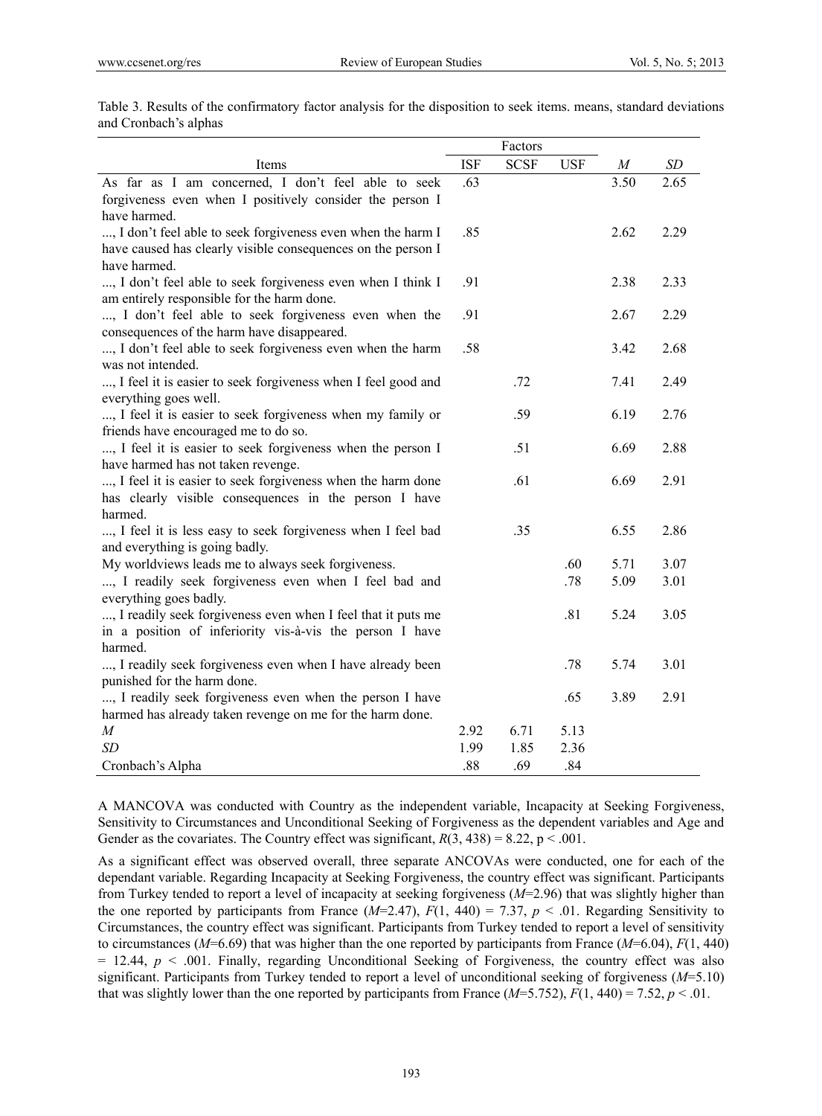| <b>ISF</b><br><b>USF</b><br><b>SCSF</b><br>SD<br>$\cal M$<br>Items<br>As far as I am concerned, I don't feel able to seek<br>.63<br>3.50<br>2.65<br>forgiveness even when I positively consider the person I<br>have harmed.<br>, I don't feel able to seek forgiveness even when the harm I<br>.85<br>2.62<br>2.29<br>have caused has clearly visible consequences on the person I<br>have harmed.<br>2.33<br>, I don't feel able to seek forgiveness even when I think I<br>.91<br>2.38<br>am entirely responsible for the harm done.<br>, I don't feel able to seek forgiveness even when the<br>2.29<br>.91<br>2.67<br>consequences of the harm have disappeared.<br>.58<br>2.68<br>, I don't feel able to seek forgiveness even when the harm<br>3.42<br>was not intended.<br>, I feel it is easier to seek forgiveness when I feel good and<br>7.41<br>2.49<br>.72<br>everything goes well.<br>, I feel it is easier to seek forgiveness when my family or<br>.59<br>6.19<br>2.76<br>friends have encouraged me to do so.<br>, I feel it is easier to seek forgiveness when the person I<br>2.88<br>.51<br>6.69<br>have harmed has not taken revenge.<br>, I feel it is easier to seek forgiveness when the harm done<br>.61<br>6.69<br>2.91<br>has clearly visible consequences in the person I have<br>harmed.<br>6.55<br>2.86<br>, I feel it is less easy to seek forgiveness when I feel bad<br>.35<br>and everything is going badly.<br>My worldviews leads me to always seek forgiveness.<br>.60<br>5.71<br>3.07<br>, I readily seek forgiveness even when I feel bad and<br>5.09<br>3.01<br>.78<br>everything goes badly.<br>.81<br>, I readily seek forgiveness even when I feel that it puts me<br>5.24<br>3.05<br>in a position of inferiority vis-à-vis the person I have<br>harmed. |
|-------------------------------------------------------------------------------------------------------------------------------------------------------------------------------------------------------------------------------------------------------------------------------------------------------------------------------------------------------------------------------------------------------------------------------------------------------------------------------------------------------------------------------------------------------------------------------------------------------------------------------------------------------------------------------------------------------------------------------------------------------------------------------------------------------------------------------------------------------------------------------------------------------------------------------------------------------------------------------------------------------------------------------------------------------------------------------------------------------------------------------------------------------------------------------------------------------------------------------------------------------------------------------------------------------------------------------------------------------------------------------------------------------------------------------------------------------------------------------------------------------------------------------------------------------------------------------------------------------------------------------------------------------------------------------------------------------------------------------------------------------------------------------------------------------|
|                                                                                                                                                                                                                                                                                                                                                                                                                                                                                                                                                                                                                                                                                                                                                                                                                                                                                                                                                                                                                                                                                                                                                                                                                                                                                                                                                                                                                                                                                                                                                                                                                                                                                                                                                                                                       |
|                                                                                                                                                                                                                                                                                                                                                                                                                                                                                                                                                                                                                                                                                                                                                                                                                                                                                                                                                                                                                                                                                                                                                                                                                                                                                                                                                                                                                                                                                                                                                                                                                                                                                                                                                                                                       |
|                                                                                                                                                                                                                                                                                                                                                                                                                                                                                                                                                                                                                                                                                                                                                                                                                                                                                                                                                                                                                                                                                                                                                                                                                                                                                                                                                                                                                                                                                                                                                                                                                                                                                                                                                                                                       |
|                                                                                                                                                                                                                                                                                                                                                                                                                                                                                                                                                                                                                                                                                                                                                                                                                                                                                                                                                                                                                                                                                                                                                                                                                                                                                                                                                                                                                                                                                                                                                                                                                                                                                                                                                                                                       |
|                                                                                                                                                                                                                                                                                                                                                                                                                                                                                                                                                                                                                                                                                                                                                                                                                                                                                                                                                                                                                                                                                                                                                                                                                                                                                                                                                                                                                                                                                                                                                                                                                                                                                                                                                                                                       |
|                                                                                                                                                                                                                                                                                                                                                                                                                                                                                                                                                                                                                                                                                                                                                                                                                                                                                                                                                                                                                                                                                                                                                                                                                                                                                                                                                                                                                                                                                                                                                                                                                                                                                                                                                                                                       |
|                                                                                                                                                                                                                                                                                                                                                                                                                                                                                                                                                                                                                                                                                                                                                                                                                                                                                                                                                                                                                                                                                                                                                                                                                                                                                                                                                                                                                                                                                                                                                                                                                                                                                                                                                                                                       |
|                                                                                                                                                                                                                                                                                                                                                                                                                                                                                                                                                                                                                                                                                                                                                                                                                                                                                                                                                                                                                                                                                                                                                                                                                                                                                                                                                                                                                                                                                                                                                                                                                                                                                                                                                                                                       |
|                                                                                                                                                                                                                                                                                                                                                                                                                                                                                                                                                                                                                                                                                                                                                                                                                                                                                                                                                                                                                                                                                                                                                                                                                                                                                                                                                                                                                                                                                                                                                                                                                                                                                                                                                                                                       |
|                                                                                                                                                                                                                                                                                                                                                                                                                                                                                                                                                                                                                                                                                                                                                                                                                                                                                                                                                                                                                                                                                                                                                                                                                                                                                                                                                                                                                                                                                                                                                                                                                                                                                                                                                                                                       |
|                                                                                                                                                                                                                                                                                                                                                                                                                                                                                                                                                                                                                                                                                                                                                                                                                                                                                                                                                                                                                                                                                                                                                                                                                                                                                                                                                                                                                                                                                                                                                                                                                                                                                                                                                                                                       |
|                                                                                                                                                                                                                                                                                                                                                                                                                                                                                                                                                                                                                                                                                                                                                                                                                                                                                                                                                                                                                                                                                                                                                                                                                                                                                                                                                                                                                                                                                                                                                                                                                                                                                                                                                                                                       |
|                                                                                                                                                                                                                                                                                                                                                                                                                                                                                                                                                                                                                                                                                                                                                                                                                                                                                                                                                                                                                                                                                                                                                                                                                                                                                                                                                                                                                                                                                                                                                                                                                                                                                                                                                                                                       |
|                                                                                                                                                                                                                                                                                                                                                                                                                                                                                                                                                                                                                                                                                                                                                                                                                                                                                                                                                                                                                                                                                                                                                                                                                                                                                                                                                                                                                                                                                                                                                                                                                                                                                                                                                                                                       |
|                                                                                                                                                                                                                                                                                                                                                                                                                                                                                                                                                                                                                                                                                                                                                                                                                                                                                                                                                                                                                                                                                                                                                                                                                                                                                                                                                                                                                                                                                                                                                                                                                                                                                                                                                                                                       |
|                                                                                                                                                                                                                                                                                                                                                                                                                                                                                                                                                                                                                                                                                                                                                                                                                                                                                                                                                                                                                                                                                                                                                                                                                                                                                                                                                                                                                                                                                                                                                                                                                                                                                                                                                                                                       |
|                                                                                                                                                                                                                                                                                                                                                                                                                                                                                                                                                                                                                                                                                                                                                                                                                                                                                                                                                                                                                                                                                                                                                                                                                                                                                                                                                                                                                                                                                                                                                                                                                                                                                                                                                                                                       |
|                                                                                                                                                                                                                                                                                                                                                                                                                                                                                                                                                                                                                                                                                                                                                                                                                                                                                                                                                                                                                                                                                                                                                                                                                                                                                                                                                                                                                                                                                                                                                                                                                                                                                                                                                                                                       |
|                                                                                                                                                                                                                                                                                                                                                                                                                                                                                                                                                                                                                                                                                                                                                                                                                                                                                                                                                                                                                                                                                                                                                                                                                                                                                                                                                                                                                                                                                                                                                                                                                                                                                                                                                                                                       |
|                                                                                                                                                                                                                                                                                                                                                                                                                                                                                                                                                                                                                                                                                                                                                                                                                                                                                                                                                                                                                                                                                                                                                                                                                                                                                                                                                                                                                                                                                                                                                                                                                                                                                                                                                                                                       |
|                                                                                                                                                                                                                                                                                                                                                                                                                                                                                                                                                                                                                                                                                                                                                                                                                                                                                                                                                                                                                                                                                                                                                                                                                                                                                                                                                                                                                                                                                                                                                                                                                                                                                                                                                                                                       |
|                                                                                                                                                                                                                                                                                                                                                                                                                                                                                                                                                                                                                                                                                                                                                                                                                                                                                                                                                                                                                                                                                                                                                                                                                                                                                                                                                                                                                                                                                                                                                                                                                                                                                                                                                                                                       |
|                                                                                                                                                                                                                                                                                                                                                                                                                                                                                                                                                                                                                                                                                                                                                                                                                                                                                                                                                                                                                                                                                                                                                                                                                                                                                                                                                                                                                                                                                                                                                                                                                                                                                                                                                                                                       |
|                                                                                                                                                                                                                                                                                                                                                                                                                                                                                                                                                                                                                                                                                                                                                                                                                                                                                                                                                                                                                                                                                                                                                                                                                                                                                                                                                                                                                                                                                                                                                                                                                                                                                                                                                                                                       |
|                                                                                                                                                                                                                                                                                                                                                                                                                                                                                                                                                                                                                                                                                                                                                                                                                                                                                                                                                                                                                                                                                                                                                                                                                                                                                                                                                                                                                                                                                                                                                                                                                                                                                                                                                                                                       |
|                                                                                                                                                                                                                                                                                                                                                                                                                                                                                                                                                                                                                                                                                                                                                                                                                                                                                                                                                                                                                                                                                                                                                                                                                                                                                                                                                                                                                                                                                                                                                                                                                                                                                                                                                                                                       |
|                                                                                                                                                                                                                                                                                                                                                                                                                                                                                                                                                                                                                                                                                                                                                                                                                                                                                                                                                                                                                                                                                                                                                                                                                                                                                                                                                                                                                                                                                                                                                                                                                                                                                                                                                                                                       |
|                                                                                                                                                                                                                                                                                                                                                                                                                                                                                                                                                                                                                                                                                                                                                                                                                                                                                                                                                                                                                                                                                                                                                                                                                                                                                                                                                                                                                                                                                                                                                                                                                                                                                                                                                                                                       |
|                                                                                                                                                                                                                                                                                                                                                                                                                                                                                                                                                                                                                                                                                                                                                                                                                                                                                                                                                                                                                                                                                                                                                                                                                                                                                                                                                                                                                                                                                                                                                                                                                                                                                                                                                                                                       |
| , I readily seek forgiveness even when I have already been<br>.78<br>5.74<br>3.01                                                                                                                                                                                                                                                                                                                                                                                                                                                                                                                                                                                                                                                                                                                                                                                                                                                                                                                                                                                                                                                                                                                                                                                                                                                                                                                                                                                                                                                                                                                                                                                                                                                                                                                     |
| punished for the harm done.                                                                                                                                                                                                                                                                                                                                                                                                                                                                                                                                                                                                                                                                                                                                                                                                                                                                                                                                                                                                                                                                                                                                                                                                                                                                                                                                                                                                                                                                                                                                                                                                                                                                                                                                                                           |
| , I readily seek forgiveness even when the person I have<br>.65<br>3.89<br>2.91                                                                                                                                                                                                                                                                                                                                                                                                                                                                                                                                                                                                                                                                                                                                                                                                                                                                                                                                                                                                                                                                                                                                                                                                                                                                                                                                                                                                                                                                                                                                                                                                                                                                                                                       |
| harmed has already taken revenge on me for the harm done.                                                                                                                                                                                                                                                                                                                                                                                                                                                                                                                                                                                                                                                                                                                                                                                                                                                                                                                                                                                                                                                                                                                                                                                                                                                                                                                                                                                                                                                                                                                                                                                                                                                                                                                                             |
| 2.92<br>6.71<br>M<br>5.13                                                                                                                                                                                                                                                                                                                                                                                                                                                                                                                                                                                                                                                                                                                                                                                                                                                                                                                                                                                                                                                                                                                                                                                                                                                                                                                                                                                                                                                                                                                                                                                                                                                                                                                                                                             |
| 1.99<br>1.85<br>2.36<br>SD                                                                                                                                                                                                                                                                                                                                                                                                                                                                                                                                                                                                                                                                                                                                                                                                                                                                                                                                                                                                                                                                                                                                                                                                                                                                                                                                                                                                                                                                                                                                                                                                                                                                                                                                                                            |
| .88<br>.69<br>.84<br>Cronbach's Alpha                                                                                                                                                                                                                                                                                                                                                                                                                                                                                                                                                                                                                                                                                                                                                                                                                                                                                                                                                                                                                                                                                                                                                                                                                                                                                                                                                                                                                                                                                                                                                                                                                                                                                                                                                                 |

Table 3. Results of the confirmatory factor analysis for the disposition to seek items. means, standard deviations and Cronbach's alphas

A MANCOVA was conducted with Country as the independent variable, Incapacity at Seeking Forgiveness, Sensitivity to Circumstances and Unconditional Seeking of Forgiveness as the dependent variables and Age and Gender as the covariates. The Country effect was significant,  $R(3, 438) = 8.22$ ,  $p < .001$ .

As a significant effect was observed overall, three separate ANCOVAs were conducted, one for each of the dependant variable. Regarding Incapacity at Seeking Forgiveness, the country effect was significant. Participants from Turkey tended to report a level of incapacity at seeking forgiveness (*M*=2.96) that was slightly higher than the one reported by participants from France  $(M=2.47)$ ,  $F(1, 440) = 7.37$ ,  $p < .01$ . Regarding Sensitivity to Circumstances, the country effect was significant. Participants from Turkey tended to report a level of sensitivity to circumstances ( $M=6.69$ ) that was higher than the one reported by participants from France ( $M=6.04$ ),  $F(1, 440)$  $= 12.44$ ,  $p < .001$ . Finally, regarding Unconditional Seeking of Forgiveness, the country effect was also significant. Participants from Turkey tended to report a level of unconditional seeking of forgiveness (*M*=5.10) that was slightly lower than the one reported by participants from France  $(M=5.752)$ ,  $F(1, 440) = 7.52$ ,  $p < 0.01$ .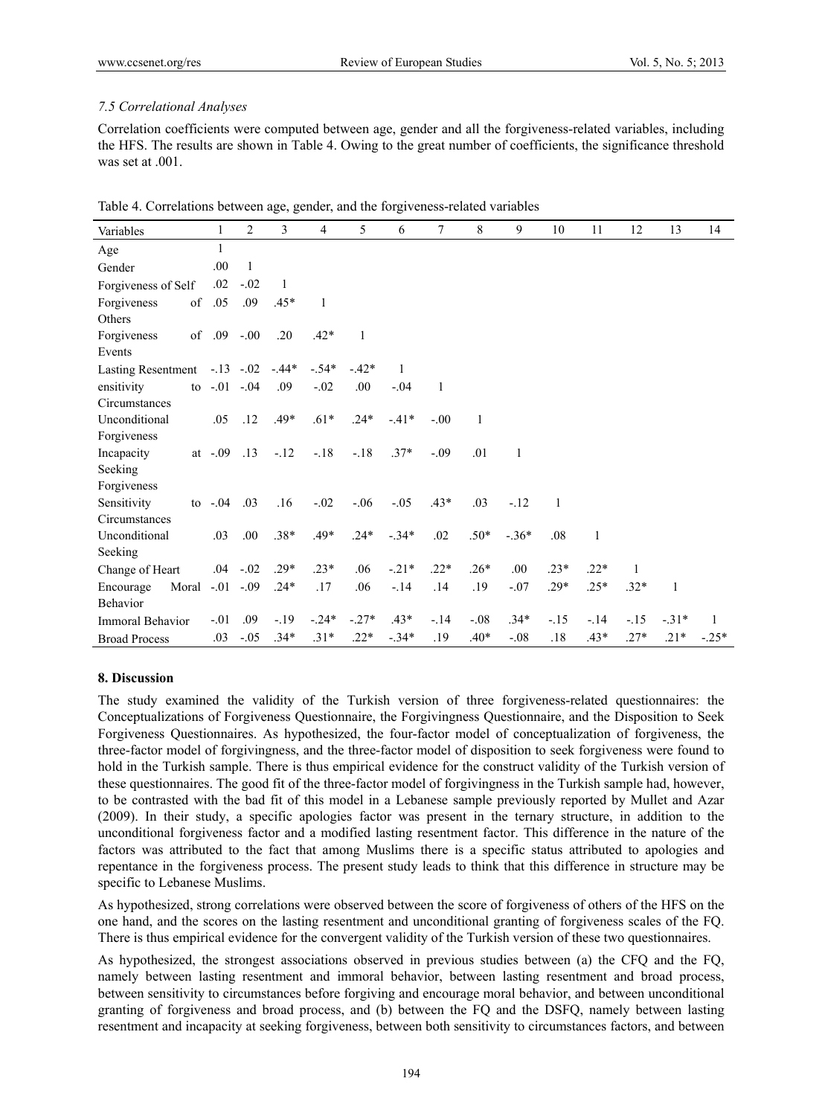## *7.5 Correlational Analyses*

Correlation coefficients were computed between age, gender and all the forgiveness-related variables, including the HFS. The results are shown in Table 4. Owing to the great number of coefficients, the significance threshold was set at .001.

| Variables                     | $\mathbf{1}$     | $\overline{c}$ | 3       | $\overline{4}$ | 5       | 6              | 7      | 8              | 9            | 10     | 11           | 12     | 13           | 14      |
|-------------------------------|------------------|----------------|---------|----------------|---------|----------------|--------|----------------|--------------|--------|--------------|--------|--------------|---------|
| Age                           | $\mathbf{1}$     |                |         |                |         |                |        |                |              |        |              |        |              |         |
| Gender                        | .00              | $\mathbf{1}$   |         |                |         |                |        |                |              |        |              |        |              |         |
| Forgiveness of Self           | .02              | $-.02$         | 1       |                |         |                |        |                |              |        |              |        |              |         |
| of<br>Forgiveness             | .05              | .09            | $.45*$  | 1              |         |                |        |                |              |        |              |        |              |         |
| Others                        |                  |                |         |                |         |                |        |                |              |        |              |        |              |         |
| Forgiveness                   | of .09 -.00      |                | .20     | $.42*$         | 1       |                |        |                |              |        |              |        |              |         |
| Events                        |                  |                |         |                |         |                |        |                |              |        |              |        |              |         |
| Lasting Resentment $-.13-.02$ |                  |                | $-.44*$ | $-.54*$        | $-.42*$ | $\overline{1}$ |        |                |              |        |              |        |              |         |
| ensitivity                    | to $-.01$ $-.04$ |                | .09     | $-.02$         | .00     | $-.04$         | 1      |                |              |        |              |        |              |         |
| Circumstances                 |                  |                |         |                |         |                |        |                |              |        |              |        |              |         |
| Unconditional                 | .05              | .12            | $.49*$  | $.61*$         | $.24*$  | $-41*$         | $-.00$ | $\overline{1}$ |              |        |              |        |              |         |
| Forgiveness                   |                  |                |         |                |         |                |        |                |              |        |              |        |              |         |
| Incapacity                    | at $-.09$ .13    |                | $-.12$  | $-.18$         | $-.18$  | $.37*$         | $-.09$ | .01            | $\mathbf{1}$ |        |              |        |              |         |
| Seeking                       |                  |                |         |                |         |                |        |                |              |        |              |        |              |         |
| Forgiveness                   |                  |                |         |                |         |                |        |                |              |        |              |        |              |         |
| Sensitivity                   | to $-.04$        | .03            | .16     | $-.02$         | $-.06$  | $-.05$         | $.43*$ | .03            | $-.12$       | 1      |              |        |              |         |
| Circumstances                 |                  |                |         |                |         |                |        |                |              |        |              |        |              |         |
| Unconditional                 | .03              | .00.           | $.38*$  | $.49*$         | $.24*$  | $-.34*$        | .02    | $.50*$         | $-.36*$      | .08    | $\mathbf{1}$ |        |              |         |
| Seeking                       |                  |                |         |                |         |                |        |                |              |        |              |        |              |         |
| Change of Heart               |                  | $.04 - .02$    | $.29*$  | $.23*$         | .06     | $-.21*$        | $.22*$ | $.26*$         | .00          | $.23*$ | $.22*$       | 1      |              |         |
| Moral<br>Encourage            |                  | $-.01-.09$     | $.24*$  | .17            | .06     | $-.14$         | .14    | .19            | $-.07$       | $.29*$ | $.25*$       | $.32*$ | $\mathbf{1}$ |         |
| Behavior                      |                  |                |         |                |         |                |        |                |              |        |              |        |              |         |
| Immoral Behavior              | $-.01$           | .09            | $-.19$  | $-.24*$        | $-.27*$ | $.43*$         | $-.14$ | $-.08$         | $.34*$       | $-15$  | $-.14$       | $-.15$ | $-.31*$      | 1       |
| <b>Broad Process</b>          | .03              | $-.05$         | $.34*$  | $.31*$         | $.22*$  | $-.34*$        | .19    | $.40*$         | $-.08$       | .18    | $.43*$       | $.27*$ | $.21*$       | $-.25*$ |

### **8. Discussion**

The study examined the validity of the Turkish version of three forgiveness-related questionnaires: the Conceptualizations of Forgiveness Questionnaire, the Forgivingness Questionnaire, and the Disposition to Seek Forgiveness Questionnaires. As hypothesized, the four-factor model of conceptualization of forgiveness, the three-factor model of forgivingness, and the three-factor model of disposition to seek forgiveness were found to hold in the Turkish sample. There is thus empirical evidence for the construct validity of the Turkish version of these questionnaires. The good fit of the three-factor model of forgivingness in the Turkish sample had, however, to be contrasted with the bad fit of this model in a Lebanese sample previously reported by Mullet and Azar (2009). In their study, a specific apologies factor was present in the ternary structure, in addition to the unconditional forgiveness factor and a modified lasting resentment factor. This difference in the nature of the factors was attributed to the fact that among Muslims there is a specific status attributed to apologies and repentance in the forgiveness process. The present study leads to think that this difference in structure may be specific to Lebanese Muslims.

As hypothesized, strong correlations were observed between the score of forgiveness of others of the HFS on the one hand, and the scores on the lasting resentment and unconditional granting of forgiveness scales of the FQ. There is thus empirical evidence for the convergent validity of the Turkish version of these two questionnaires.

As hypothesized, the strongest associations observed in previous studies between (a) the CFQ and the FQ, namely between lasting resentment and immoral behavior, between lasting resentment and broad process, between sensitivity to circumstances before forgiving and encourage moral behavior, and between unconditional granting of forgiveness and broad process, and (b) between the FQ and the DSFQ, namely between lasting resentment and incapacity at seeking forgiveness, between both sensitivity to circumstances factors, and between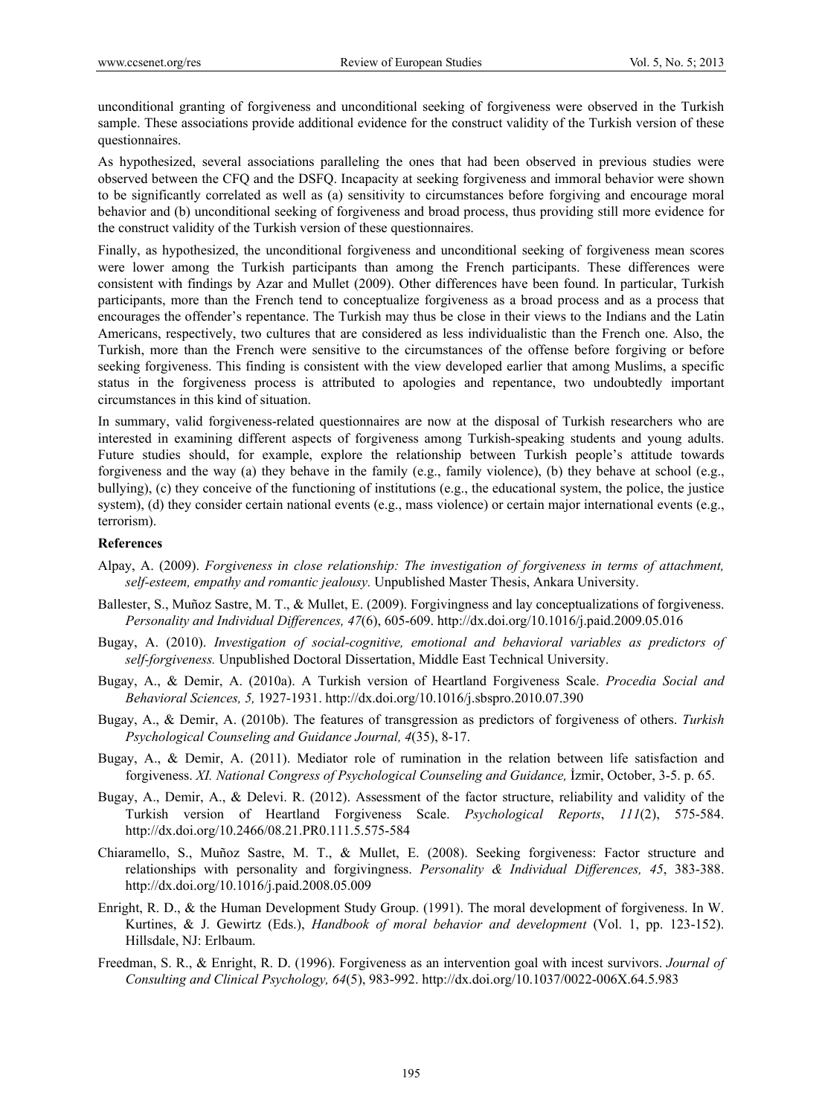unconditional granting of forgiveness and unconditional seeking of forgiveness were observed in the Turkish sample. These associations provide additional evidence for the construct validity of the Turkish version of these questionnaires.

As hypothesized, several associations paralleling the ones that had been observed in previous studies were observed between the CFQ and the DSFQ. Incapacity at seeking forgiveness and immoral behavior were shown to be significantly correlated as well as (a) sensitivity to circumstances before forgiving and encourage moral behavior and (b) unconditional seeking of forgiveness and broad process, thus providing still more evidence for the construct validity of the Turkish version of these questionnaires.

Finally, as hypothesized, the unconditional forgiveness and unconditional seeking of forgiveness mean scores were lower among the Turkish participants than among the French participants. These differences were consistent with findings by Azar and Mullet (2009). Other differences have been found. In particular, Turkish participants, more than the French tend to conceptualize forgiveness as a broad process and as a process that encourages the offender's repentance. The Turkish may thus be close in their views to the Indians and the Latin Americans, respectively, two cultures that are considered as less individualistic than the French one. Also, the Turkish, more than the French were sensitive to the circumstances of the offense before forgiving or before seeking forgiveness. This finding is consistent with the view developed earlier that among Muslims, a specific status in the forgiveness process is attributed to apologies and repentance, two undoubtedly important circumstances in this kind of situation.

In summary, valid forgiveness-related questionnaires are now at the disposal of Turkish researchers who are interested in examining different aspects of forgiveness among Turkish-speaking students and young adults. Future studies should, for example, explore the relationship between Turkish people's attitude towards forgiveness and the way (a) they behave in the family (e.g., family violence), (b) they behave at school (e.g., bullying), (c) they conceive of the functioning of institutions (e.g., the educational system, the police, the justice system), (d) they consider certain national events (e.g., mass violence) or certain major international events (e.g., terrorism).

#### **References**

- Alpay, A. (2009). *Forgiveness in close relationship: The investigation of forgiveness in terms of attachment, self-esteem, empathy and romantic jealousy.* Unpublished Master Thesis, Ankara University.
- Ballester, S., Muñoz Sastre, M. T., & Mullet, E. (2009). Forgivingness and lay conceptualizations of forgiveness. *Personality and Individual Differences, 47*(6), 605-609. http://dx.doi.org/10.1016/j.paid.2009.05.016
- Bugay, A. (2010). *Investigation of social-cognitive, emotional and behavioral variables as predictors of self-forgiveness.* Unpublished Doctoral Dissertation, Middle East Technical University.
- Bugay, A., & Demir, A. (2010a). A Turkish version of Heartland Forgiveness Scale. *Procedia Social and Behavioral Sciences, 5,* 1927-1931. http://dx.doi.org/10.1016/j.sbspro.2010.07.390
- Bugay, A., & Demir, A. (2010b). The features of transgression as predictors of forgiveness of others. *Turkish Psychological Counseling and Guidance Journal, 4*(35), 8-17.
- Bugay, A., & Demir, A. (2011). Mediator role of rumination in the relation between life satisfaction and forgiveness. *XI. National Congress of Psychological Counseling and Guidance,* İzmir, October, 3-5. p. 65.
- Bugay, A., Demir, A., & Delevi. R. (2012). Assessment of the factor structure, reliability and validity of the Turkish version of Heartland Forgiveness Scale. *Psychological Reports*, *111*(2), 575-584. http://dx.doi.org/10.2466/08.21.PR0.111.5.575-584
- Chiaramello, S., Muñoz Sastre, M. T., & Mullet, E. (2008). Seeking forgiveness: Factor structure and relationships with personality and forgivingness. *Personality & Individual Differences, 45*, 383-388. http://dx.doi.org/10.1016/j.paid.2008.05.009
- Enright, R. D., & the Human Development Study Group. (1991). The moral development of forgiveness. In W. Kurtines, & J. Gewirtz (Eds.), *Handbook of moral behavior and development* (Vol. 1, pp. 123-152). Hillsdale, NJ: Erlbaum.
- Freedman, S. R., & Enright, R. D. (1996). Forgiveness as an intervention goal with incest survivors. *Journal of Consulting and Clinical Psychology, 64*(5), 983-992. http://dx.doi.org/10.1037/0022-006X.64.5.983